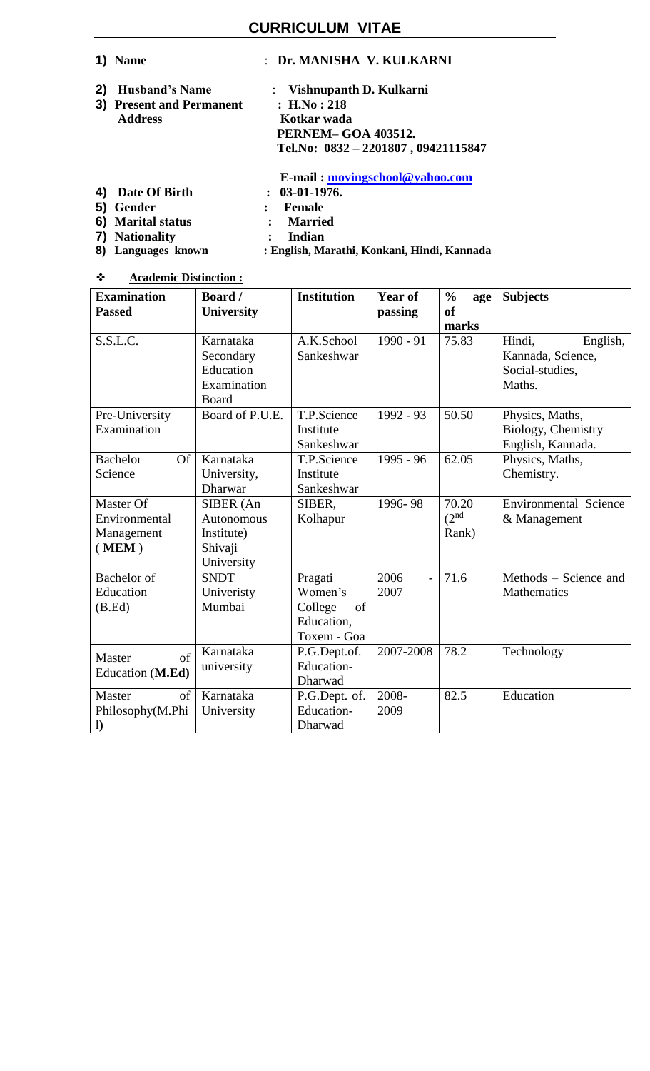# **CURRICULUM VITAE**

|    | 1) Name                  | : Dr. MANISHA V. KULKARNI              |
|----|--------------------------|----------------------------------------|
| 2) | <b>Husband's Name</b>    | : Vishnupanth D. Kulkarni              |
|    | 3) Present and Permanent | : H.No: 218                            |
|    | <b>Address</b>           | Kotkar wada                            |
|    |                          | <b>PERNEM-GOA 403512.</b>              |
|    |                          | Tel.No: $0832 - 2201807$ , 09421115847 |
|    |                          | E-mail: movingschool@yahoo.com         |
| 4) | Date Of Birth            | $: 03-01-1976.$                        |

- **5)** Gender : Female<br> **6)** Marital status : Married
- **6) Marital status : Married**
- **7) Nationality : Indian**
- 
- **8) Languages known : English, Marathi, Konkani, Hindi, Kannada**
- **Academic Distinction :**

| <b>Examination</b>           | <b>Board</b> /    | <b>Institution</b> | <b>Year of</b>         | $\frac{0}{0}$<br>age | <b>Subjects</b>              |
|------------------------------|-------------------|--------------------|------------------------|----------------------|------------------------------|
| <b>Passed</b>                | <b>University</b> |                    | passing                | <b>of</b>            |                              |
|                              |                   |                    |                        | marks                |                              |
| S.S.L.C.                     | Karnataka         | A.K.School         | $1990 - 91$            | 75.83                | Hindi,<br>English,           |
|                              | Secondary         | Sankeshwar         |                        |                      | Kannada, Science,            |
|                              | Education         |                    |                        |                      | Social-studies,              |
|                              | Examination       |                    |                        |                      | Maths.                       |
|                              | Board             |                    |                        |                      |                              |
| Pre-University               | Board of P.U.E.   | T.P.Science        | 1992 - 93              | 50.50                | Physics, Maths,              |
| Examination                  |                   | Institute          |                        |                      | Biology, Chemistry           |
|                              |                   | Sankeshwar         |                        |                      | English, Kannada.            |
| <b>Bachelor</b><br><b>Of</b> | Karnataka         | T.P.Science        | 1995 - 96              | 62.05                | Physics, Maths,              |
| Science                      | University,       | Institute          |                        |                      | Chemistry.                   |
|                              | <b>Dharwar</b>    | Sankeshwar         |                        |                      |                              |
| Master Of                    | SIBER (An         | SIBER,             | 1996-98                | 70.20                | <b>Environmental Science</b> |
| Environmental                | <b>Autonomous</b> | Kolhapur           |                        | (2 <sup>nd</sup>     | & Management                 |
| Management                   | Institute)        |                    |                        | Rank)                |                              |
| (MEM)                        | Shivaji           |                    |                        |                      |                              |
|                              | University        |                    |                        |                      |                              |
| <b>Bachelor</b> of           | <b>SNDT</b>       | Pragati            | 2006<br>$\overline{a}$ | 71.6                 | Methods – Science and        |
| Education                    | Univeristy        | Women's            | 2007                   |                      | Mathematics                  |
| (B.Ed)                       | Mumbai            | College<br>of      |                        |                      |                              |
|                              |                   | Education,         |                        |                      |                              |
|                              |                   | Toxem - Goa        |                        |                      |                              |
| of<br>Master                 | Karnataka         | P.G.Dept.of.       | 2007-2008              | 78.2                 | Technology                   |
| Education (M.Ed)             | university        | Education-         |                        |                      |                              |
|                              |                   | Dharwad            |                        |                      |                              |
| Master<br>of                 | Karnataka         | P.G.Dept. of.      | 2008-                  | 82.5                 | Education                    |
| Philosophy(M.Phi             | University        | Education-         | 2009                   |                      |                              |
| $\mathbf{I}$                 |                   | Dharwad            |                        |                      |                              |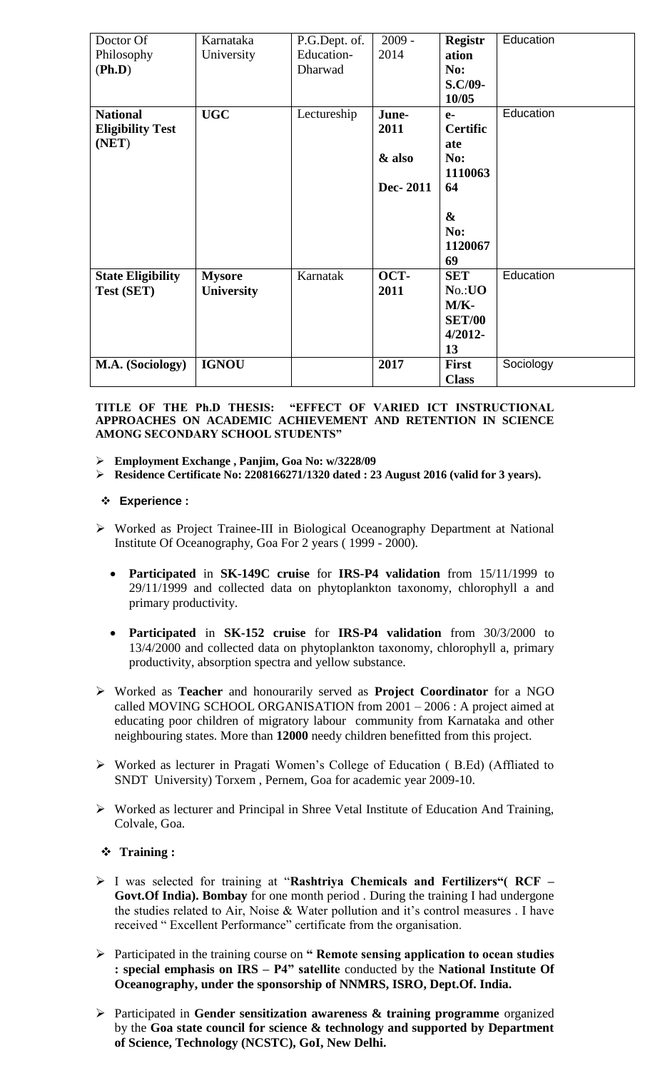| Doctor Of                | Karnataka         | P.G.Dept. of. | $2009 -$ | <b>Registr</b>    | Education |
|--------------------------|-------------------|---------------|----------|-------------------|-----------|
| Philosophy               | University        | Education-    | 2014     | ation             |           |
| (Ph.D)                   |                   | Dharwad       |          | No:               |           |
|                          |                   |               |          | S.C/09-           |           |
|                          |                   |               |          | 10/05             |           |
| <b>National</b>          | <b>UGC</b>        | Lectureship   | June-    | $e-$              | Education |
| <b>Eligibility Test</b>  |                   |               | 2011     | <b>Certific</b>   |           |
| (NET)                    |                   |               |          | ate               |           |
|                          |                   |               | & also   | No:               |           |
|                          |                   |               |          | 1110063           |           |
|                          |                   |               | Dec-2011 | 64                |           |
|                          |                   |               |          |                   |           |
|                          |                   |               |          | $\boldsymbol{\&}$ |           |
|                          |                   |               |          | No:               |           |
|                          |                   |               |          | 1120067           |           |
|                          |                   |               |          | 69                |           |
| <b>State Eligibility</b> | <b>Mysore</b>     | Karnatak      | OCT-     | <b>SET</b>        | Education |
| <b>Test (SET)</b>        | <b>University</b> |               | 2011     | No.: <b>UO</b>    |           |
|                          |                   |               |          | $M/K-$            |           |
|                          |                   |               |          | <b>SET/00</b>     |           |
|                          |                   |               |          | $4/2012 -$        |           |
|                          |                   |               |          | 13                |           |
| M.A. (Sociology)         | <b>IGNOU</b>      |               | 2017     | <b>First</b>      | Sociology |
|                          |                   |               |          | <b>Class</b>      |           |

#### **TITLE OF THE Ph.D THESIS: "EFFECT OF VARIED ICT INSTRUCTIONAL APPROACHES ON ACADEMIC ACHIEVEMENT AND RETENTION IN SCIENCE AMONG SECONDARY SCHOOL STUDENTS"**

- **Employment Exchange , Panjim, Goa No: w/3228/09**
- **Residence Certificate No: 2208166271/1320 dated : 23 August 2016 (valid for 3 years).**

### **Experience :**

- Worked as Project Trainee-III in Biological Oceanography Department at National Institute Of Oceanography, Goa For 2 years ( 1999 - 2000).
	- **Participated** in **SK-149C cruise** for **IRS-P4 validation** from 15/11/1999 to 29/11/1999 and collected data on phytoplankton taxonomy, chlorophyll a and primary productivity.
	- **Participated** in **SK-152 cruise** for **IRS-P4 validation** from 30/3/2000 to 13/4/2000 and collected data on phytoplankton taxonomy, chlorophyll a, primary productivity, absorption spectra and yellow substance.
- Worked as **Teacher** and honourarily served as **Project Coordinator** for a NGO called MOVING SCHOOL ORGANISATION from 2001 – 2006 : A project aimed at educating poor children of migratory labour community from Karnataka and other neighbouring states. More than **12000** needy children benefitted from this project.
- Worked as lecturer in Pragati Women's College of Education ( B.Ed) (Affliated to SNDT University) Torxem , Pernem, Goa for academic year 2009-10.
- Worked as lecturer and Principal in Shree Vetal Institute of Education And Training, Colvale, Goa.

### **Training :**

- I was selected for training at "**Rashtriya Chemicals and Fertilizers"( RCF – Govt.Of India). Bombay** for one month period . During the training I had undergone the studies related to Air, Noise & Water pollution and it's control measures . I have received " Excellent Performance" certificate from the organisation.
- Participated in the training course on **" Remote sensing application to ocean studies : special emphasis on IRS – P4" satellite** conducted by the **National Institute Of Oceanography, under the sponsorship of NNMRS, ISRO, Dept.Of. India.**
- Participated in **Gender sensitization awareness & training programme** organized by the **Goa state council for science & technology and supported by Department of Science, Technology (NCSTC), GoI, New Delhi.**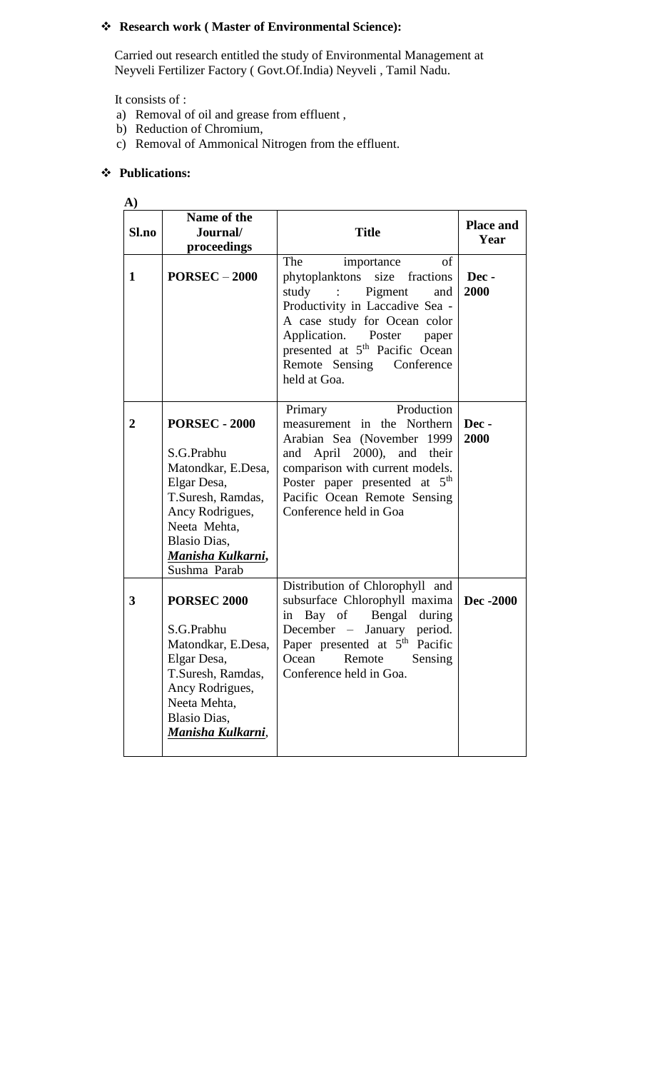# **Research work ( Master of Environmental Science):**

Carried out research entitled the study of Environmental Management at Neyveli Fertilizer Factory ( Govt.Of.India) Neyveli , Tamil Nadu.

It consists of :

- a) Removal of oil and grease from effluent ,
- b) Reduction of Chromium,
- c) Removal of Ammonical Nitrogen from the effluent.

# **Publications:**

| A)             |                                                                                                                                                                                             |                                                                                                                                                                                                                                                                                  |                          |
|----------------|---------------------------------------------------------------------------------------------------------------------------------------------------------------------------------------------|----------------------------------------------------------------------------------------------------------------------------------------------------------------------------------------------------------------------------------------------------------------------------------|--------------------------|
| Sl.no          | Name of the<br>Journal/<br>proceedings                                                                                                                                                      | <b>Title</b>                                                                                                                                                                                                                                                                     | <b>Place and</b><br>Year |
| 1              | $PORSEC - 2000$                                                                                                                                                                             | The<br>importance<br>of<br>phytoplanktons size fractions<br>study :<br>Pigment<br>and<br>Productivity in Laccadive Sea -<br>A case study for Ocean color<br>Application. Poster paper<br>presented at 5 <sup>th</sup> Pacific Ocean<br>Remote Sensing Conference<br>held at Goa. | Dec-<br>2000             |
| $\overline{2}$ | <b>PORSEC - 2000</b><br>S.G.Prabhu<br>Matondkar, E.Desa,<br>Elgar Desa,<br>T.Suresh, Ramdas,<br>Ancy Rodrigues,<br>Neeta Mehta,<br><b>Blasio Dias,</b><br>Manisha Kulkarni,<br>Sushma Parab | Production<br>Primary<br>measurement in the Northern<br>Arabian Sea (November 1999<br>April 2000), and their<br>and<br>comparison with current models.<br>Poster paper presented at $5th$<br>Pacific Ocean Remote Sensing<br>Conference held in Goa                              | Dec-<br>2000             |
| 3              | <b>PORSEC 2000</b><br>S.G.Prabhu<br>Matondkar, E.Desa,<br>Elgar Desa,<br>T.Suresh, Ramdas,<br>Ancy Rodrigues,<br>Neeta Mehta,<br><b>Blasio Dias,</b><br>Manisha Kulkarni,                   | Distribution of Chlorophyll and<br>subsurface Chlorophyll maxima<br>in Bay of Bengal during<br>December – January period.<br>Paper presented at 5 <sup>th</sup> Pacific<br>Ocean Remote<br>Sensing<br>Conference held in Goa.                                                    | Dec -2000                |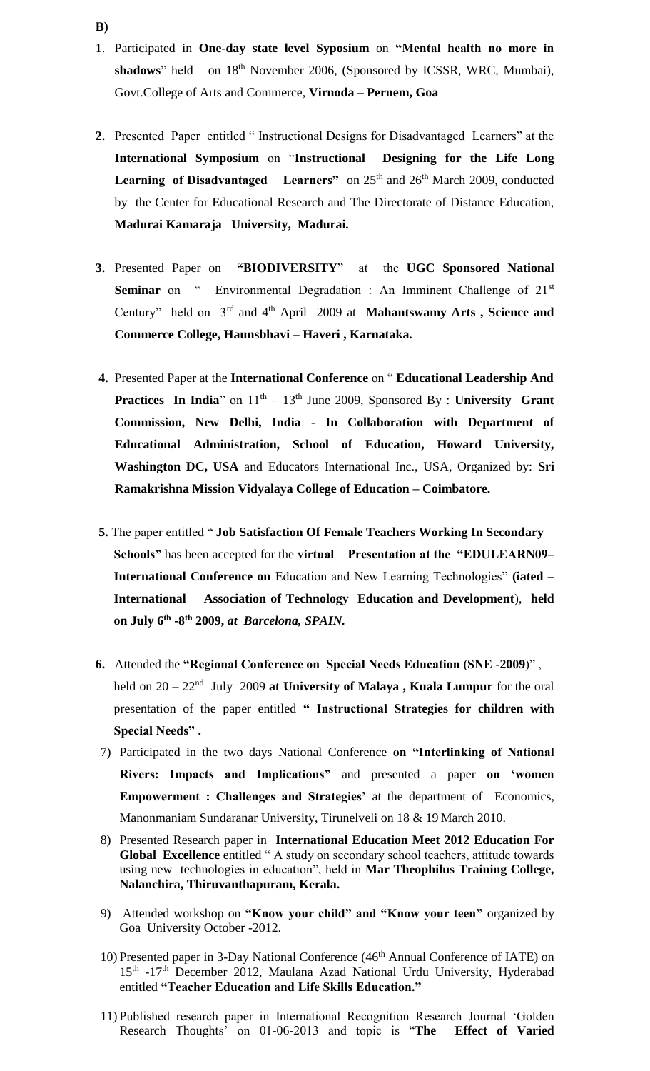- 1. Participated in **One-day state level Syposium** on **"Mental health no more in**  shadows" held on 18<sup>th</sup> November 2006, (Sponsored by ICSSR, WRC, Mumbai), Govt.College of Arts and Commerce, **Virnoda – Pernem, Goa**
- **2.** Presented Paper entitled " Instructional Designs for Disadvantaged Learners" at the **International Symposium** on "**Instructional Designing for the Life Long Learning of Disadvantaged** Learners" on 25<sup>th</sup> and 26<sup>th</sup> March 2009, conducted by the Center for Educational Research and The Directorate of Distance Education, **Madurai Kamaraja University, Madurai.**
- **3.** Presented Paper on **"BIODIVERSITY**" at the **UGC Sponsored National Seminar** on " Environmental Degradation : An Imminent Challenge of 21<sup>st</sup> Century" held on 3rd and 4th April 2009 at **Mahantswamy Arts , Science and Commerce College, Haunsbhavi – Haveri , Karnataka.**
- **4.** Presented Paper at the **International Conference** on " **Educational Leadership And Practices In India**" on  $11<sup>th</sup> - 13<sup>th</sup>$  June 2009, Sponsored By : **University Grant Commission, New Delhi, India - In Collaboration with Department of Educational Administration, School of Education, Howard University, Washington DC, USA** and Educators International Inc., USA, Organized by: **Sri Ramakrishna Mission Vidyalaya College of Education – Coimbatore.**
- **5.** The paper entitled " **Job Satisfaction Of Female Teachers Working In Secondary Schools"** has been accepted for the **virtual Presentation at the "EDULEARN09– International Conference on** Education and New Learning Technologies" **(iated – International Association of Technology Education and Development**), **held on July 6th -8 th 2009,** *at Barcelona, SPAIN.*
- **6.** Attended the **"Regional Conference on Special Needs Education (SNE -2009**)" , held on 20 – 22<sup>nd</sup> July 2009 at University of Malaya, Kuala Lumpur for the oral presentation of the paper entitled **" Instructional Strategies for children with Special Needs" .**
- 7) Participated in the two days National Conference **on "Interlinking of National Rivers: Impacts and Implications"** and presented a paper **on 'women Empowerment : Challenges and Strategies'** at the department of Economics, Manonmaniam Sundaranar University, Tirunelveli on 18 & 19 March 2010.
- 8) Presented Research paper in **International Education Meet 2012 Education For Global Excellence** entitled " A study on secondary school teachers, attitude towards using new technologies in education", held in **Mar Theophilus Training College, Nalanchira, Thiruvanthapuram, Kerala.**
- 9) Attended workshop on **"Know your child" and "Know your teen"** organized by Goa University October -2012.
- 10) Presented paper in 3-Day National Conference (46<sup>th</sup> Annual Conference of IATE) on 15<sup>th</sup> -17<sup>th</sup> December 2012, Maulana Azad National Urdu University, Hyderabad entitled **"Teacher Education and Life Skills Education."**
- 11) Published research paper in International Recognition Research Journal 'Golden Research Thoughts' on 01-06-2013 and topic is "**The Effect of Varied**

### **B)**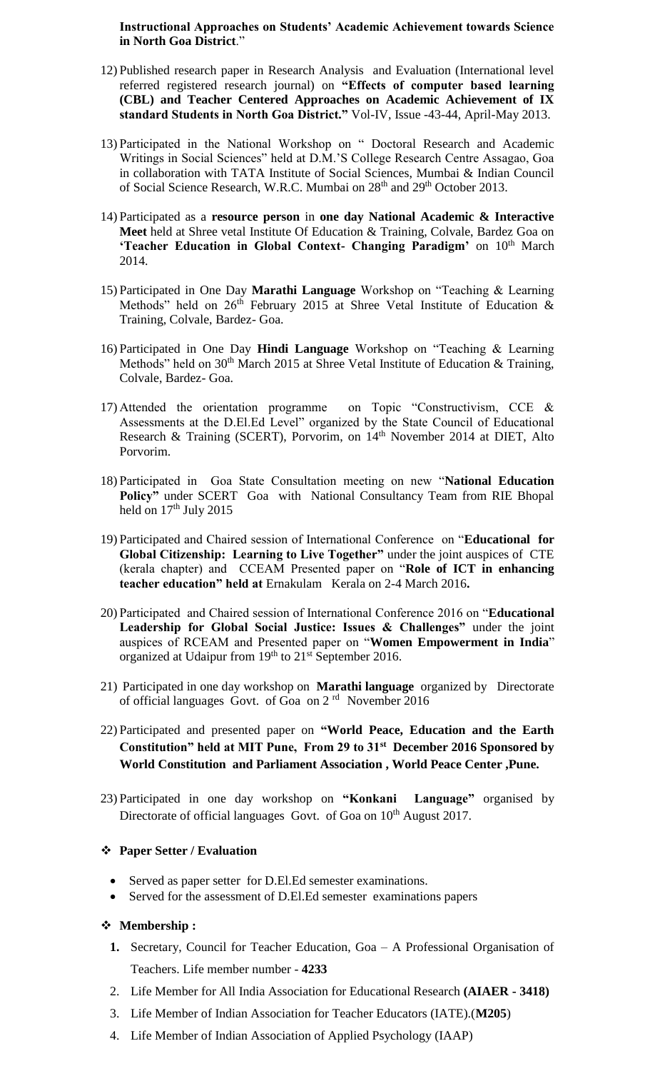**Instructional Approaches on Students' Academic Achievement towards Science in North Goa District**."

- 12) Published research paper in Research Analysis and Evaluation (International level referred registered research journal) on **"Effects of computer based learning (CBL) and Teacher Centered Approaches on Academic Achievement of IX standard Students in North Goa District."** Vol-IV, Issue -43-44, April-May 2013.
- 13) Participated in the National Workshop on " Doctoral Research and Academic Writings in Social Sciences" held at D.M.'S College Research Centre Assagao, Goa in collaboration with TATA Institute of Social Sciences, Mumbai & Indian Council of Social Science Research, W.R.C. Mumbai on 28<sup>th</sup> and 29<sup>th</sup> October 2013.
- 14) Participated as a **resource person** in **one day National Academic & Interactive Meet** held at Shree vetal Institute Of Education & Training, Colvale, Bardez Goa on **'Teacher Education in Global Context- Changing Paradigm' on**  $10<sup>th</sup>$  **March** 2014.
- 15) Participated in One Day **Marathi Language** Workshop on "Teaching & Learning Methods" held on  $26<sup>th</sup>$  February 2015 at Shree Vetal Institute of Education & Training, Colvale, Bardez- Goa.
- 16) Participated in One Day **Hindi Language** Workshop on "Teaching & Learning Methods" held on 30<sup>th</sup> March 2015 at Shree Vetal Institute of Education & Training, Colvale, Bardez- Goa.
- 17) Attended the orientation programme on Topic "Constructivism, CCE & Assessments at the D.El.Ed Level" organized by the State Council of Educational Research & Training (SCERT), Porvorim, on 14<sup>th</sup> November 2014 at DIET, Alto Porvorim.
- 18) Participated in Goa State Consultation meeting on new "**National Education Policy"** under SCERT Goa with National Consultancy Team from RIE Bhopal held on  $17<sup>th</sup>$  July 2015
- 19) Participated and Chaired session of International Conference on "**Educational for Global Citizenship: Learning to Live Together"** under the joint auspices of CTE (kerala chapter) and CCEAM Presented paper on "**Role of ICT in enhancing teacher education" held at** Ernakulam Kerala on 2-4 March 2016**.**
- 20) Participated and Chaired session of International Conference 2016 on "**Educational Leadership for Global Social Justice: Issues & Challenges"** under the joint auspices of RCEAM and Presented paper on "**Women Empowerment in India**" organized at Udaipur from 19<sup>th</sup> to 21<sup>st</sup> September 2016.
- 21) Participated in one day workshop on **Marathi language** organized by Directorate of official languages Govt. of Goa on 2 rd November 2016
- 22) Participated and presented paper on **"World Peace, Education and the Earth Constitution" held at MIT Pune, From 29 to 31st December 2016 Sponsored by World Constitution and Parliament Association , World Peace Center ,Pune.**
- 23) Participated in one day workshop on **"Konkani Language"** organised by Directorate of official languages Govt. of Goa on  $10<sup>th</sup>$  August 2017.

### **Paper Setter / Evaluation**

- Served as paper setter for D.El.Ed semester examinations.
- Served for the assessment of D.El.Ed semester examinations papers

### **Membership :**

- **1.** Secretary, Council for Teacher Education, Goa A Professional Organisation of Teachers. Life member number - **4233**
- 2. Life Member for All India Association for Educational Research **(AIAER - 3418)**
- 3. Life Member of Indian Association for Teacher Educators (IATE).(**M205**)
- 4. Life Member of Indian Association of Applied Psychology (IAAP)